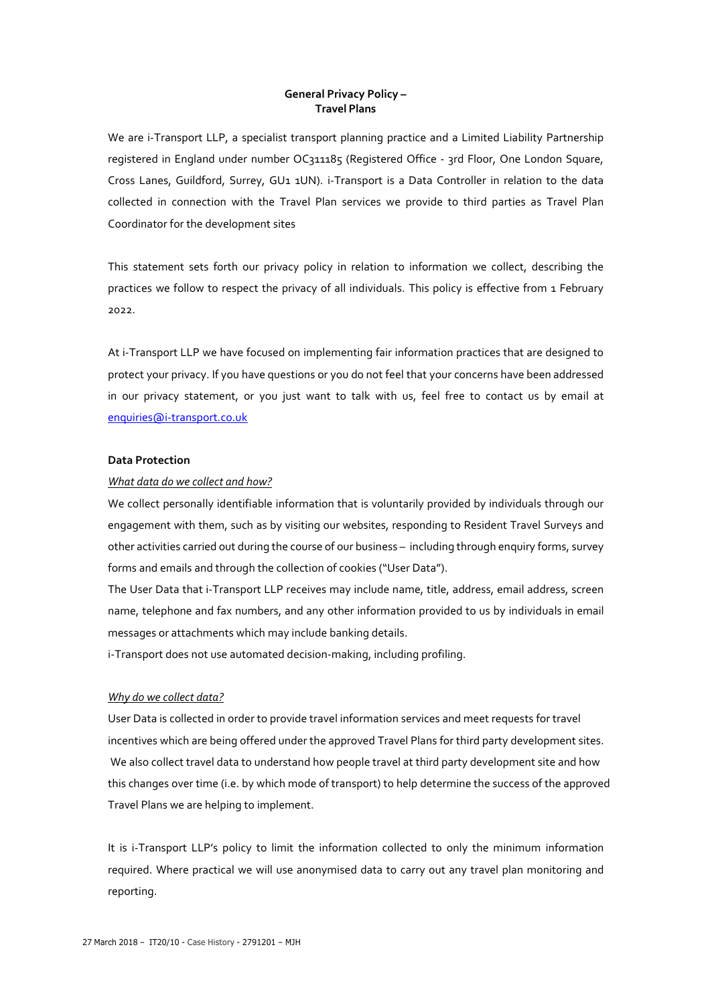## **General Privacy Policy – Travel Plans**

We are i-Transport LLP, a specialist transport planning practice and a Limited Liability Partnership registered in England under number OC311185 (Registered Office - 3rd Floor, One London Square, Cross Lanes, Guildford, Surrey, GU1 1UN). i-Transport is a Data Controller in relation to the data collected in connection with the Travel Plan services we provide to third parties as Travel Plan Coordinator for the development sites

This statement sets forth our privacy policy in relation to information we collect, describing the practices we follow to respect the privacy of all individuals. This policy is effective from 1 February 2022.

At i-Transport LLP we have focused on implementing fair information practices that are designed to protect your privacy. If you have questions or you do not feel that your concerns have been addressed in our privacy statement, or you just want to talk with us, feel free to contact us by email at [enquiries@i-transport.co.uk](mailto:enquiries@i-transport.co.uk)

## **Data Protection**

## *What data do we collect and how?*

We collect personally identifiable information that is voluntarily provided by individuals through our engagement with them, such as by visiting our websites, responding to Resident Travel Surveys and other activities carried out during the course of our business – including through enquiry forms, survey forms and emails and through the collection of cookies ("User Data").

The User Data that i-Transport LLP receives may include name, title, address, email address, screen name, telephone and fax numbers, and any other information provided to us by individuals in email messages or attachments which may include banking details.

i-Transport does not use automated decision-making, including profiling.

## *Why do we collect data?*

User Data is collected in order to provide travel information services and meet requests for travel incentives which are being offered under the approved Travel Plans for third party development sites. We also collect travel data to understand how people travel at third party development site and how this changes over time (i.e. by which mode of transport) to help determine the success of the approved Travel Plans we are helping to implement.

It is i-Transport LLP's policy to limit the information collected to only the minimum information required. Where practical we will use anonymised data to carry out any travel plan monitoring and reporting.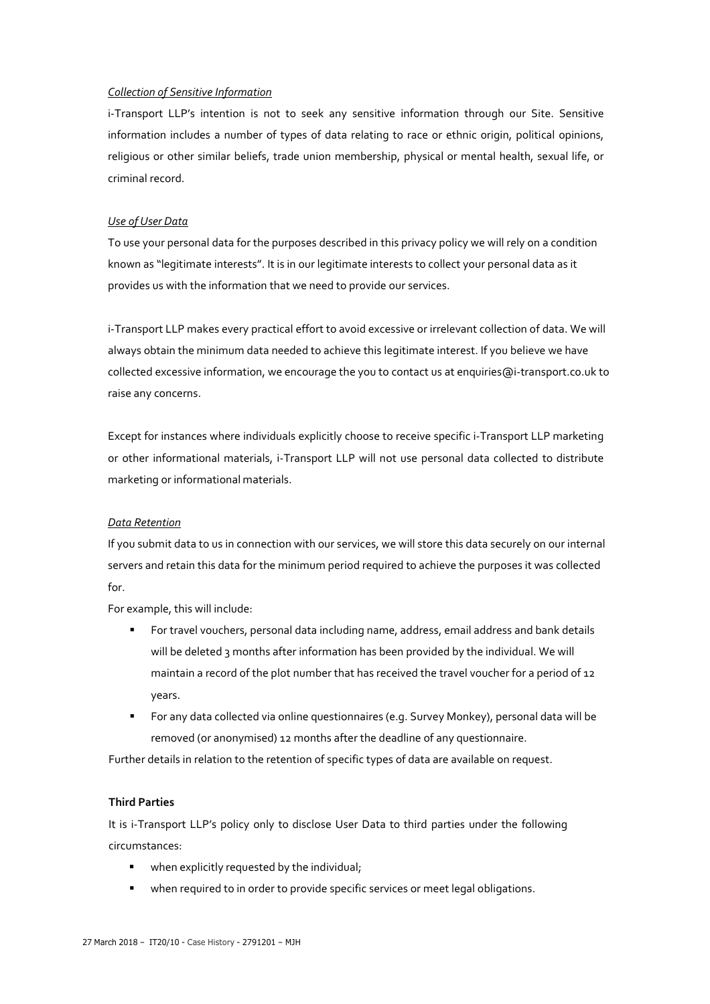### *Collection of Sensitive Information*

i-Transport LLP's intention is not to seek any sensitive information through our Site. Sensitive information includes a number of types of data relating to race or ethnic origin, political opinions, religious or other similar beliefs, trade union membership, physical or mental health, sexual life, or criminal record.

### *Use of User Data*

To use your personal data for the purposes described in this privacy policy we will rely on a condition known as "legitimate interests". It is in our legitimate interests to collect your personal data as it provides us with the information that we need to provide our services.

i-Transport LLP makes every practical effort to avoid excessive or irrelevant collection of data. We will always obtain the minimum data needed to achieve this legitimate interest. If you believe we have collected excessive information, we encourage the you to contact us at [enquiries@i-transport.co.uk t](mailto:enquiries@i-transport.co.uk)o raise any concerns.

Except for instances where individuals explicitly choose to receive specific i-Transport LLP marketing or other informational materials, i-Transport LLP will not use personal data collected to distribute marketing or informational materials.

#### *Data Retention*

If you submit data to us in connection with our services, we will store this data securely on our internal servers and retain this data for the minimum period required to achieve the purposes it was collected for.

For example, this will include:

- For travel vouchers, personal data including name, address, email address and bank details will be deleted 3 months after information has been provided by the individual. We will maintain a record of the plot number that has received the travel voucher for a period of 12 years.
- For any data collected via online questionnaires (e.g. Survey Monkey), personal data will be removed (or anonymised) 12 months after the deadline of any questionnaire.

Further details in relation to the retention of specific types of data are available on request.

## **Third Parties**

It is i-Transport LLP's policy only to disclose User Data to third parties under the following circumstances:

- **when explicitly requested by the individual;**
- when required to in order to provide specific services or meet legal obligations.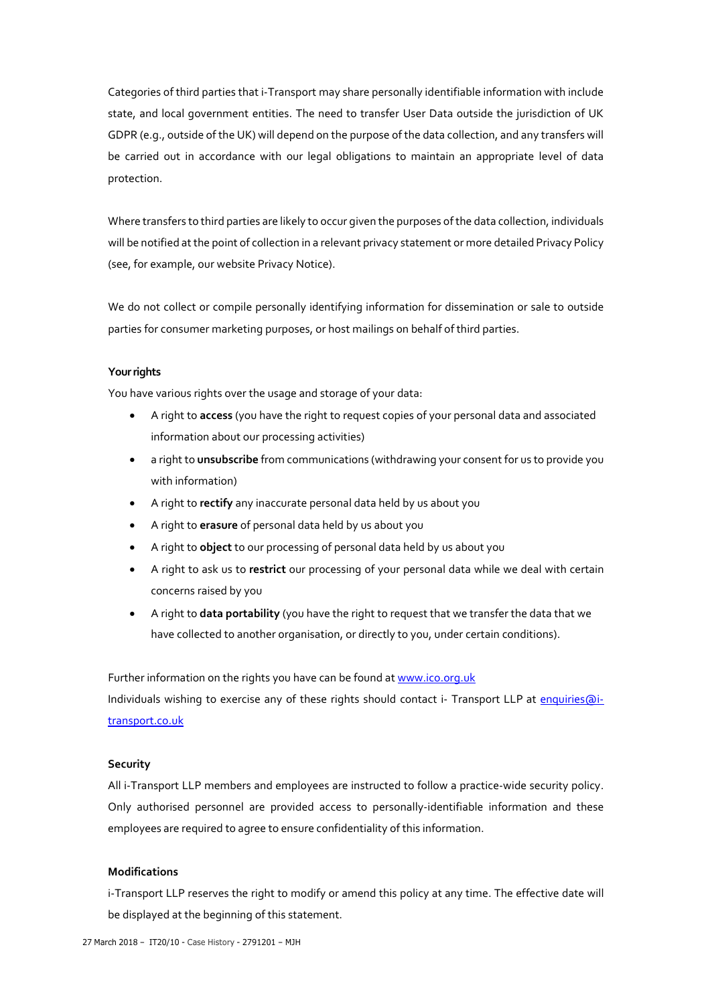Categories of third parties that i-Transport may share personally identifiable information with include state, and local government entities. The need to transfer User Data outside the jurisdiction of UK GDPR (e.g., outside of the UK) will depend on the purpose of the data collection, and any transfers will be carried out in accordance with our legal obligations to maintain an appropriate level of data protection.

Where transfers to third parties are likely to occur given the purposes of the data collection, individuals will be notified at the point of collection in a relevant privacy statement or more detailed Privacy Policy (see, for example, our website Privacy Notice).

We do not collect or compile personally identifying information for dissemination or sale to outside parties for consumer marketing purposes, or host mailings on behalf of third parties.

## **Your rights**

You have various rights over the usage and storage of your data:

- A right to **access** (you have the right to request copies of your personal data and associated information about our processing activities)
- a right to **unsubscribe** from communications (withdrawing your consent for us to provide you with information)
- A right to **rectify** any inaccurate personal data held by us about you
- A right to **erasure** of personal data held by us about you
- A right to **object** to our processing of personal data held by us about you
- A right to ask us to **restrict** our processing of your personal data while we deal with certain concerns raised by you
- A right to **data portability** (you have the right to request that we transfer the data that we have collected to another organisation, or directly to you, under certain conditions).

Further information on the rights you have can be found a[t www.ico.org.uk](http://www.ico.org.uk/)

Individuals wishing to exercise any of these rights should contact i- Transport LLP at [enquiries@i](mailto:enquiries@i-transport.co.uk)[transport.co.uk](mailto:enquiries@i-transport.co.uk)

## **Security**

All i-Transport LLP members and employees are instructed to follow a practice-wide security policy. Only authorised personnel are provided access to personally-identifiable information and these employees are required to agree to ensure confidentiality of this information.

## **Modifications**

i-Transport LLP reserves the right to modify or amend this policy at any time. The effective date will be displayed at the beginning of this statement.